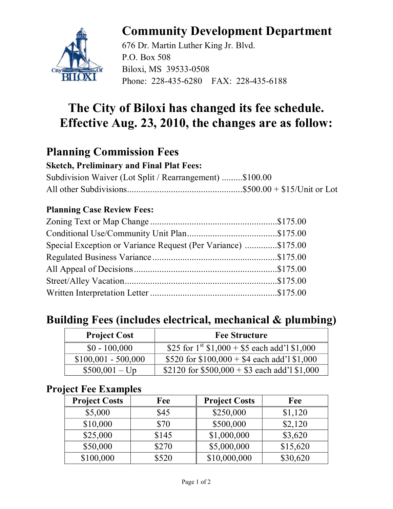

# **Community Development Department**

676 Dr. Martin Luther King Jr. Blvd. P.O. Box 508 Biloxi, MS 39533-0508 Phone: 228-435-6280 FAX: 228-435-6188

## **The City of Biloxi has changed its fee schedule. Effective Aug. 23, 2010, the changes are as follow:**

### **Planning Commission Fees**

#### **Sketch, Preliminary and Final Plat Fees:**

Subdivision Waiver (Lot Split / Rearrangement) .........\$100.00 All other Subdivisions..................................................\$500.00 + \$15/Unit or Lot

#### **Planning Case Review Fees:**

| Special Exception or Variance Request (Per Variance) \$175.00 |  |
|---------------------------------------------------------------|--|
|                                                               |  |
|                                                               |  |
|                                                               |  |
|                                                               |  |

### **Building Fees (includes electrical, mechanical & plumbing)**

| <b>Project Cost</b>  | <b>Fee Structure</b>                               |
|----------------------|----------------------------------------------------|
| $$0 - 100,000$       | \$25 for $1^{st}$ \$1,000 + \$5 each add'1 \$1,000 |
| $$100,001 - 500,000$ | \$520 for $$100,000 + $4$ each add'l \$1,000       |
| $$500,001 - Up$      | \$2120 for $$500,000 + $3$ each add'l \$1,000      |

#### **Project Fee Examples**

| <b>Project Costs</b> | Fee   | <b>Project Costs</b> | Fee      |
|----------------------|-------|----------------------|----------|
| \$5,000              | \$45  | \$250,000            | \$1,120  |
| \$10,000             | \$70  | \$500,000            | \$2,120  |
| \$25,000             | \$145 | \$1,000,000          | \$3,620  |
| \$50,000             | \$270 | \$5,000,000          | \$15,620 |
| \$100,000            | \$520 | \$10,000,000         | \$30,620 |